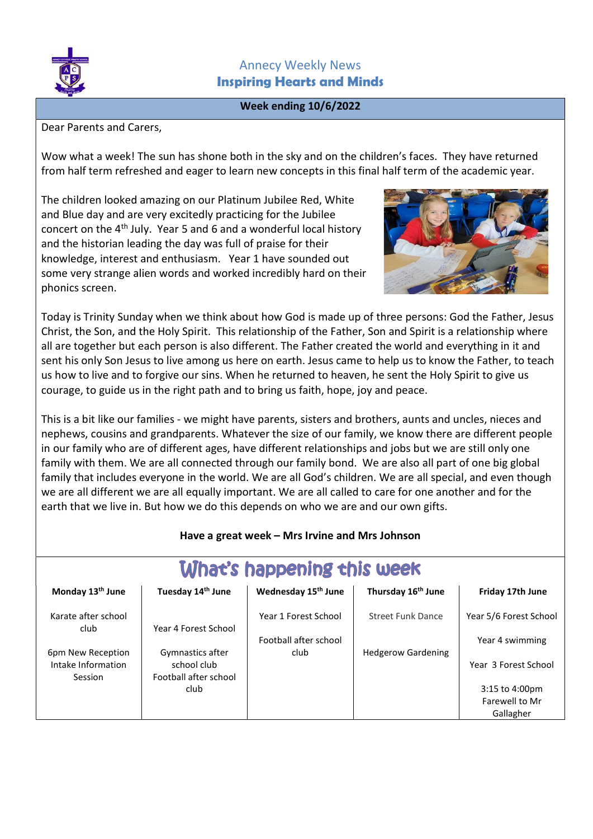

# Week ending 10/6/2022

Dear Parents and Carers,

Wow what a week! The sun has shone both in the sky and on the children's faces. They have returned from half term refreshed and eager to learn new concepts in this final half term of the academic year.

The children looked amazing on our Platinum Jubilee Red, White and Blue day and are very excitedly practicing for the Jubilee concert on the 4<sup>th</sup> July. Year 5 and 6 and a wonderful local history and the historian leading the day was full of praise for their knowledge, interest and enthusiasm. Year 1 have sounded out some very strange alien words and worked incredibly hard on their phonics screen.



Today is Trinity Sunday when we think about how God is made up of three persons: God the Father, Jesus Christ, the Son, and the Holy Spirit. This relationship of the Father, Son and Spirit is a relationship where all are together but each person is also different. The Father created the world and everything in it and sent his only Son Jesus to live among us here on earth. Jesus came to help us to know the Father, to teach us how to live and to forgive our sins. When he returned to heaven, he sent the Holy Spirit to give us courage, to guide us in the right path and to bring us faith, hope, joy and peace.

This is a bit like our families - we might have parents, sisters and brothers, aunts and uncles, nieces and nephews, cousins and grandparents. Whatever the size of our family, we know there are different people in our family who are of different ages, have different relationships and jobs but we are still only one family with them. We are all connected through our family bond. We are also all part of one big global family that includes everyone in the world. We are all God's children. We are all special, and even though we are all different we are all equally important. We are all called to care for one another and for the earth that we live in. But how we do this depends on who we are and our own gifts.

## Have a great week – Mrs Irvine and Mrs Johnson

| What's happening this week    |                                      |                                 |                                |                        |
|-------------------------------|--------------------------------------|---------------------------------|--------------------------------|------------------------|
| Monday 13 <sup>th</sup> June  | Tuesday 14 <sup>th</sup> June        | Wednesday 15 <sup>th</sup> June | Thursday 16 <sup>th</sup> June | Friday 17th June       |
| Karate after school<br>club   | Year 4 Forest School                 | Year 1 Forest School            | <b>Street Funk Dance</b>       | Year 5/6 Forest School |
|                               |                                      | Football after school           |                                | Year 4 swimming        |
| 6pm New Reception             | Gymnastics after                     | club                            | <b>Hedgerow Gardening</b>      |                        |
| Intake Information<br>Session | school club<br>Football after school |                                 |                                | Year 3 Forest School   |
|                               | club.                                |                                 |                                | 3:15 to 4:00pm         |
|                               |                                      |                                 |                                | Farewell to Mr         |
|                               |                                      |                                 |                                | Gallagher              |